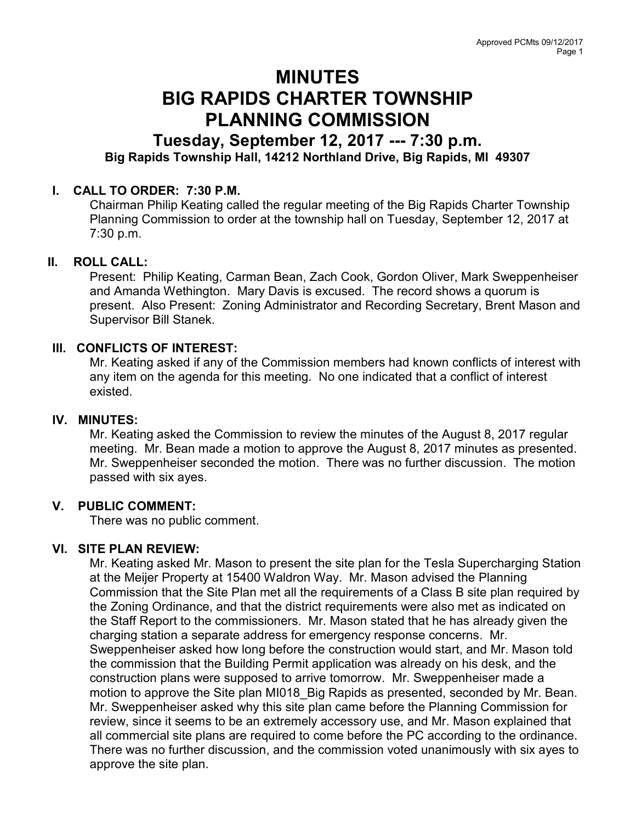# MINUTES BIG RAPIDS CHARTER TOWNSHIP PLANNING COMMISSION

# Tuesday, September 12, 2017 --- 7:30 p.m. Big Rapids Township Hall, 14212 Northland Drive, Big Rapids, MI 49307

# I. CALL TO ORDER: 7:30 P.M.

Chairman Philip Keating called the regular meeting of the Big Rapids Charter Township Planning Commission to order at the township hall on Tuesday, September 12, 2017 at 7:30 p.m.

#### II. ROLL CALL:

Present: Philip Keating, Carman Bean, Zach Cook, Gordon Oliver, Mark Sweppenheiser and Amanda Wethington. Mary Davis is excused. The record shows a quorum is present. Also Present: Zoning Administrator and Recording Secretary, Brent Mason and Supervisor Bill Stanek.

# III. CONFLICTS OF INTEREST:

Mr. Keating asked if any of the Commission members had known conflicts of interest with any item on the agenda for this meeting. No one indicated that a conflict of interest existed.

#### IV. MINUTES:

Mr. Keating asked the Commission to review the minutes of the August 8, 2017 regular meeting. Mr. Bean made a motion to approve the August 8, 2017 minutes as presented. Mr. Sweppenheiser seconded the motion. There was no further discussion. The motion passed with six ayes.

#### V. PUBLIC COMMENT:

There was no public comment.

# VI. SITE PLAN REVIEW:

Mr. Keating asked Mr. Mason to present the site plan for the Tesla Supercharging Station at the Meijer Property at 15400 Waldron Way. Mr. Mason advised the Planning Commission that the Site Plan met all the requirements of a Class B site plan required by the Zoning Ordinance, and that the district requirements were also met as indicated on the Staff Report to the commissioners. Mr. Mason stated that he has already given the charging station a separate address for emergency response concerns. Mr. Sweppenheiser asked how long before the construction would start, and Mr. Mason told the commission that the Building Permit application was already on his desk, and the construction plans were supposed to arrive tomorrow. Mr. Sweppenheiser made a motion to approve the Site plan MI018 Big Rapids as presented, seconded by Mr. Bean. Mr. Sweppenheiser asked why this site plan came before the Planning Commission for review, since it seems to be an extremely accessory use, and Mr. Mason explained that all commercial site plans are required to come before the PC according to the ordinance. There was no further discussion, and the commission voted unanimously with six ayes to approve the site plan.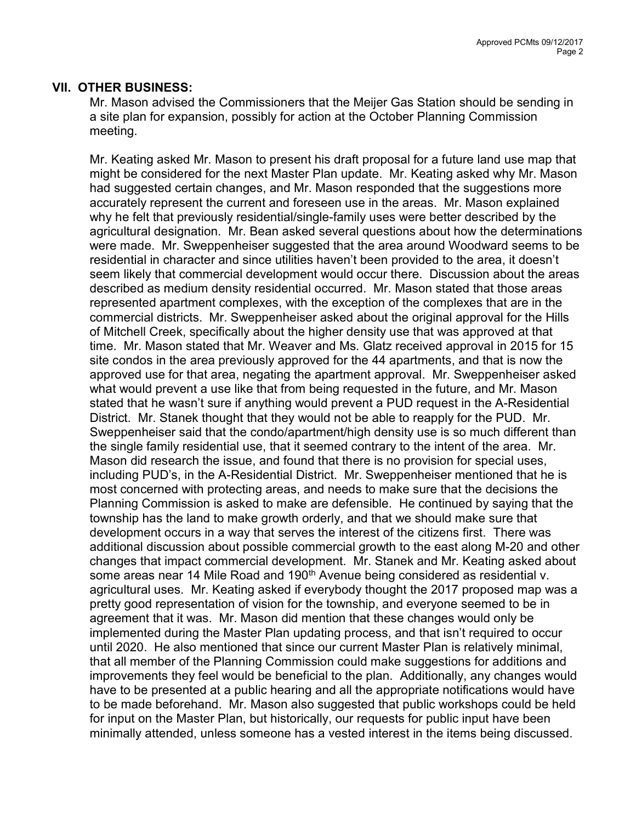#### VII. OTHER BUSINESS:

Mr. Mason advised the Commissioners that the Meijer Gas Station should be sending in a site plan for expansion, possibly for action at the October Planning Commission meeting.

Mr. Keating asked Mr. Mason to present his draft proposal for a future land use map that might be considered for the next Master Plan update. Mr. Keating asked why Mr. Mason had suggested certain changes, and Mr. Mason responded that the suggestions more accurately represent the current and foreseen use in the areas. Mr. Mason explained why he felt that previously residential/single-family uses were better described by the agricultural designation. Mr. Bean asked several questions about how the determinations were made. Mr. Sweppenheiser suggested that the area around Woodward seems to be residential in character and since utilities haven't been provided to the area, it doesn't seem likely that commercial development would occur there. Discussion about the areas described as medium density residential occurred. Mr. Mason stated that those areas represented apartment complexes, with the exception of the complexes that are in the commercial districts. Mr. Sweppenheiser asked about the original approval for the Hills of Mitchell Creek, specifically about the higher density use that was approved at that time. Mr. Mason stated that Mr. Weaver and Ms. Glatz received approval in 2015 for 15 site condos in the area previously approved for the 44 apartments, and that is now the approved use for that area, negating the apartment approval. Mr. Sweppenheiser asked what would prevent a use like that from being requested in the future, and Mr. Mason stated that he wasn't sure if anything would prevent a PUD request in the A-Residential District. Mr. Stanek thought that they would not be able to reapply for the PUD. Mr. Sweppenheiser said that the condo/apartment/high density use is so much different than the single family residential use, that it seemed contrary to the intent of the area. Mr. Mason did research the issue, and found that there is no provision for special uses, including PUD's, in the A-Residential District. Mr. Sweppenheiser mentioned that he is most concerned with protecting areas, and needs to make sure that the decisions the Planning Commission is asked to make are defensible. He continued by saying that the township has the land to make growth orderly, and that we should make sure that development occurs in a way that serves the interest of the citizens first. There was additional discussion about possible commercial growth to the east along M-20 and other changes that impact commercial development. Mr. Stanek and Mr. Keating asked about some areas near 14 Mile Road and 190<sup>th</sup> Avenue being considered as residential v. agricultural uses. Mr. Keating asked if everybody thought the 2017 proposed map was a pretty good representation of vision for the township, and everyone seemed to be in agreement that it was. Mr. Mason did mention that these changes would only be implemented during the Master Plan updating process, and that isn't required to occur until 2020. He also mentioned that since our current Master Plan is relatively minimal, that all member of the Planning Commission could make suggestions for additions and improvements they feel would be beneficial to the plan. Additionally, any changes would have to be presented at a public hearing and all the appropriate notifications would have to be made beforehand. Mr. Mason also suggested that public workshops could be held for input on the Master Plan, but historically, our requests for public input have been minimally attended, unless someone has a vested interest in the items being discussed.